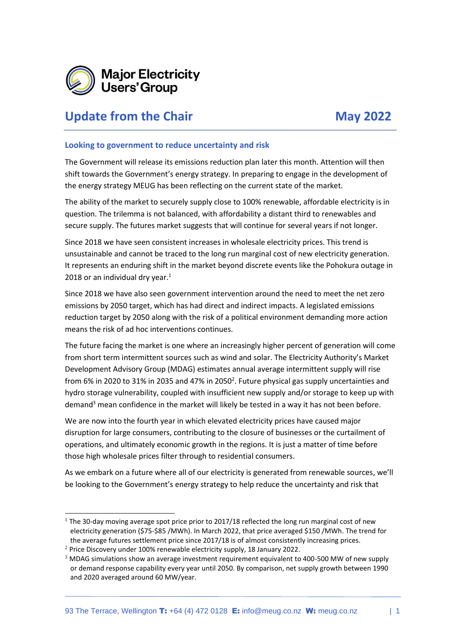

## **Update from the Chair May 2022**

## **Looking to government to reduce uncertainty and risk**

The Government will release its emissions reduction plan later this month. Attention will then shift towards the Government's energy strategy. In preparing to engage in the development of the energy strategy MEUG has been reflecting on the current state of the market.

The ability of the market to securely supply close to 100% renewable, affordable electricity is in question. The trilemma is not balanced, with affordability a distant third to renewables and secure supply. The futures market suggests that will continue for several years if not longer.

Since 2018 we have seen consistent increases in wholesale electricity prices. This trend is unsustainable and cannot be traced to the long run marginal cost of new electricity generation. It represents an enduring shift in the market beyond discrete events like the Pohokura outage in 2018 or an individual dry year. $<sup>1</sup>$ </sup>

Since 2018 we have also seen government intervention around the need to meet the net zero emissions by 2050 target, which has had direct and indirect impacts. A legislated emissions reduction target by 2050 along with the risk of a political environment demanding more action means the risk of ad hoc interventions continues.

The future facing the market is one where an increasingly higher percent of generation will come from short term intermittent sources such as wind and solar. The Electricity Authority's Market Development Advisory Group (MDAG) estimates annual average intermittent supply will rise from 6% in 2020 to 31% in 2035 and 47% in 2050<sup>2</sup>. Future physical gas supply uncertainties and hydro storage vulnerability, coupled with insufficient new supply and/or storage to keep up with demand<sup>3</sup> mean confidence in the market will likely be tested in a way it has not been before.

We are now into the fourth year in which elevated electricity prices have caused major disruption for large consumers, contributing to the closure of businesses or the curtailment of operations, and ultimately economic growth in the regions. It is just a matter of time before those high wholesale prices filter through to residential consumers.

As we embark on a future where all of our electricity is generated from renewable sources, we'll be looking to the Government's energy strategy to help reduce the uncertainty and risk that

<sup>2</sup> Price Discovery under 100% renewable electricity supply, 18 January 2022.

 $1$  The 30-day moving average spot price prior to 2017/18 reflected the long run marginal cost of new electricity generation (\$75-\$85 /MWh). In March 2022, that price averaged \$150 /MWh. The trend for the average futures settlement price since 2017/18 is of almost consistently increasing prices.

<sup>&</sup>lt;sup>3</sup> MDAG simulations show an average investment requirement equivalent to 400-500 MW of new supply or demand response capability every year until 2050. By comparison, net supply growth between 1990 and 2020 averaged around 60 MW/year.